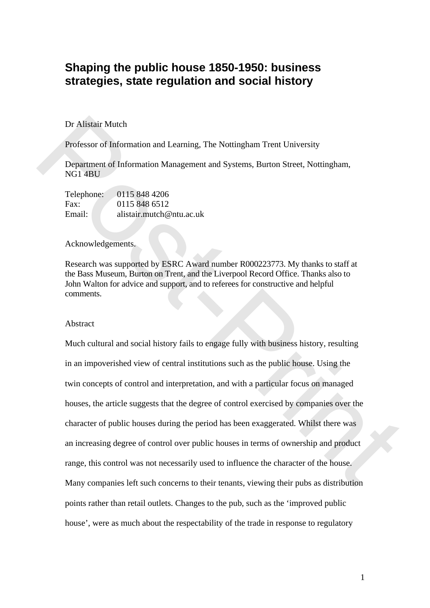# **Shaping the public house 1850-1950: business strategies, state regulation and social history**

Dr Alistair Mutch

Professor of Information and Learning, The Nottingham Trent University

Department of Information Management and Systems, Burton Street, Nottingham, NG1 4BU

| Telephone: | 0115 848 4206            |
|------------|--------------------------|
| Fax:       | 0115 848 6512            |
| Email:     | alistair.mutch@ntu.ac.uk |

#### Acknowledgements.

Research was supported by ESRC Award number R000223773. My thanks to staff at the Bass Museum, Burton on Trent, and the Liverpool Record Office. Thanks also to John Walton for advice and support, and to referees for constructive and helpful comments.

#### Abstract

Much cultural and social history fails to engage fully with business history, resulting in an impoverished view of central institutions such as the public house. Using the twin concepts of control and interpretation, and with a particular focus on managed houses, the article suggests that the degree of control exercised by companies over the character of public houses during the period has been exaggerated. Whilst there was an increasing degree of control over public houses in terms of ownership and product range, this control was not necessarily used to influence the character of the house. Many companies left such concerns to their tenants, viewing their pubs as distribution points rather than retail outlets. Changes to the pub, such as the 'improved public house', were as much about the respectability of the trade in response to regulatory Dr Alistair Mutch<br>
Professor of Information and Learning, The Nottingham Trent University<br>
Department of Information Management and Systems, Burton Street, Nottingham,<br>
NG1 4BU<br>
Tetephone: 0115 848 4206<br>
Fax: 0115 848 4206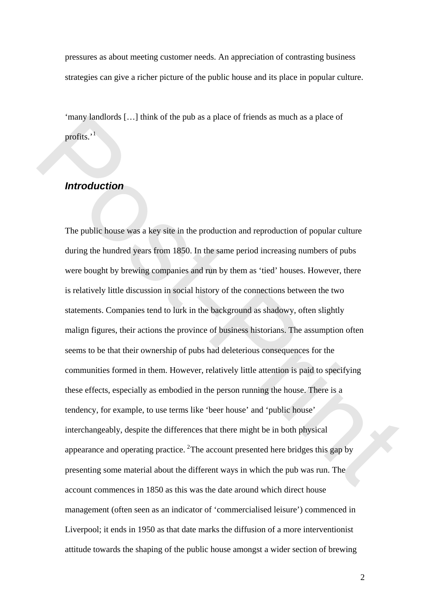pressures as about meeting customer needs. An appreciation of contrasting business strategies can give a richer picture of the public house and its place in popular culture.

'many landlords […] think of the pub as a place of friends as much as a place of profits.'<sup>1</sup>

## *Introduction*

The public house was a key site in the production and reproduction of popular culture during the hundred years from 1850. In the same period increasing numbers of pubs were bought by brewing companies and run by them as 'tied' houses. However, there is relatively little discussion in social history of the connections between the two statements. Companies tend to lurk in the background as shadowy, often slightly malign figures, their actions the province of business historians. The assumption often seems to be that their ownership of pubs had deleterious consequences for the communities formed in them. However, relatively little attention is paid to specifying these effects, especially as embodied in the person running the house. There is a tendency, for example, to use terms like 'beer house' and 'public house' interchangeably, despite the differences that there might be in both physical appearance and operating practice.  ${}^{2}$ The account presented here bridges this gap by presenting some material about the different ways in which the pub was run. The account commences in 1850 as this was the date around which direct house management (often seen as an indicator of 'commercialised leisure') commenced in Liverpool; it ends in 1950 as that date marks the diffusion of a more interventionist attitude towards the shaping of the public house amongst a wider section of brewing many landonos [....] think of the pub as a piace of friends as much as a piace of<br>profits."<br> **Infroduction**<br> **[P](#page-29-0)osition**<br> **Position**<br> **Position**<br> **Position**<br> **Position**<br> **Position**<br> **Position**<br> **Position**<br> **Position**<br> **Posi**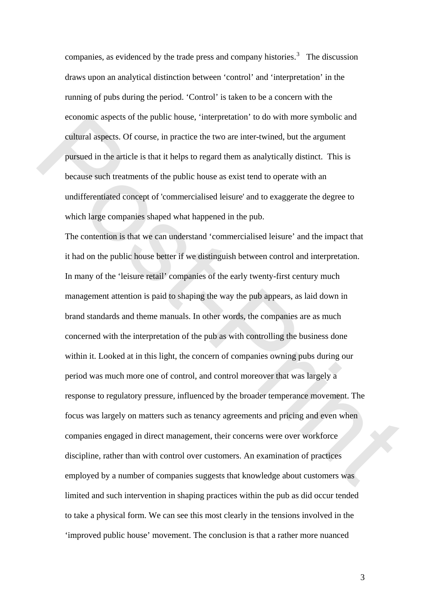companies, as evidenced by the trade press and company histories.<sup>[3](#page-29-1)</sup> The discussion draws upon an analytical distinction between 'control' and 'interpretation' in the running of pubs during the period. 'Control' is taken to be a concern with the economic aspects of the public house, 'interpretation' to do with more symbolic and cultural aspects. Of course, in practice the two are inter-twined, but the argument pursued in the article is that it helps to regard them as analytically distinct. This is because such treatments of the public house as exist tend to operate with an undifferentiated concept of 'commercialised leisure' and to exaggerate the degree to which large companies shaped what happened in the pub.

The contention is that we can understand 'commercialised leisure' and the impact that it had on the public house better if we distinguish between control and interpretation. In many of the 'leisure retail' companies of the early twenty-first century much management attention is paid to shaping the way the pub appears, as laid down in brand standards and theme manuals. In other words, the companies are as much concerned with the interpretation of the pub as with controlling the business done within it. Looked at in this light, the concern of companies owning pubs during our period was much more one of control, and control moreover that was largely a response to regulatory pressure, influenced by the broader temperance movement. The focus was largely on matters such as tenancy agreements and pricing and even when companies engaged in direct management, their concerns were over workforce discipline, rather than with control over customers. An examination of practices employed by a number of companies suggests that knowledge about customers was limited and such intervention in shaping practices within the pub as did occur tended to take a physical form. We can see this most clearly in the tensions involved in the 'improved public house' movement. The conclusion is that a rather more nuanced economic aspects of the public bouse, 'interpretation' to do with more symbolic and<br>cultural aspects. Of course, in practice the two are inter-twined, but the argument<br>pursued in the article is that it helps to regard them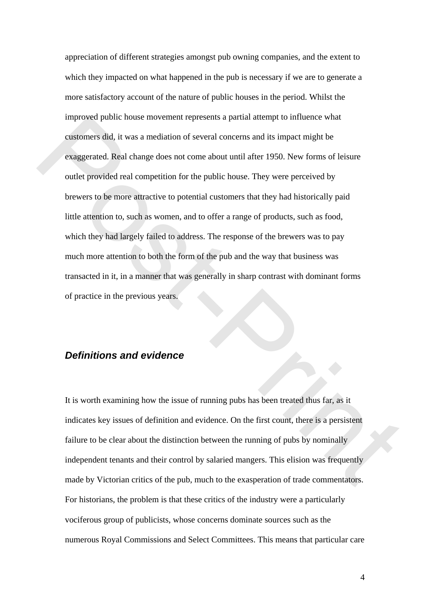appreciation of different strategies amongst pub owning companies, and the extent to which they impacted on what happened in the pub is necessary if we are to generate a more satisfactory account of the nature of public houses in the period. Whilst the improved public house movement represents a partial attempt to influence what customers did, it was a mediation of several concerns and its impact might be exaggerated. Real change does not come about until after 1950. New forms of leisure outlet provided real competition for the public house. They were perceived by brewers to be more attractive to potential customers that they had historically paid little attention to, such as women, and to offer a range of products, such as food, which they had largely failed to address. The response of the brewers was to pay much more attention to both the form of the pub and the way that business was transacted in it, in a manner that was generally in sharp contrast with dominant forms of practice in the previous years. improved public house inoverient represents a partial attempt to influence what<br>customers did, it was a mediation of several concerns and its impact might be<br>exaggerated. Real change does not come about until after 1950. N

## *Definitions and evidence*

It is worth examining how the issue of running pubs has been treated thus far, as it indicates key issues of definition and evidence. On the first count, there is a persistent failure to be clear about the distinction between the running of pubs by nominally independent tenants and their control by salaried mangers. This elision was frequently made by Victorian critics of the pub, much to the exasperation of trade commentators. For historians, the problem is that these critics of the industry were a particularly vociferous group of publicists, whose concerns dominate sources such as the numerous Royal Commissions and Select Committees. This means that particular care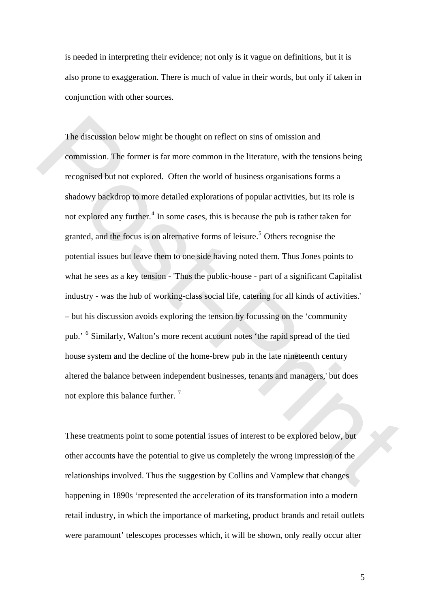is needed in interpreting their evidence; not only is it vague on definitions, but it is also prone to exaggeration. There is much of value in their words, but only if taken in conjunction with other sources.

The discussion below might be thought on reflect on sins of omission and commission. The former is far more common in the literature, with the tensions being recognised but not explored. Often the world of business organisations forms a shadowy backdrop to more detailed explorations of popular activities, but its role is not explored any further.<sup>4</sup> In some cases, this is because the pub is rather taken for granted, and the focus is on alternative forms of leisure.<sup>5</sup> Others recognise the potential issues but leave them to one side having noted them. Thus Jones points to what he sees as a key tension - 'Thus the public-house - part of a significant Capitalist industry - was the hub of working-class social life, catering for all kinds of activities.' – but his discussion avoids exploring the tension by focussing on the 'community pub.' <sup>6</sup> Similarly, Walton's more recent account notes 'the rapid spread of the tied house system and the decline of the home-brew pub in the late nineteenth century altered the balance between independent businesses, tenants and managers,' but does not explore this balance further.<sup>7</sup> The discussion below might be thought on reflect on sins of omission and<br>commission. The former is far more common in the literature, with the tensions being<br>recognised but not explored. Often the world of business organis

These treatments point to some potential issues of interest to be explored below, but other accounts have the potential to give us completely the wrong impression of the relationships involved. Thus the suggestion by Collins and Vamplew that changes happening in 1890s 'represented the acceleration of its transformation into a modern retail industry, in which the importance of marketing, product brands and retail outlets were paramount' telescopes processes which, it will be shown, only really occur after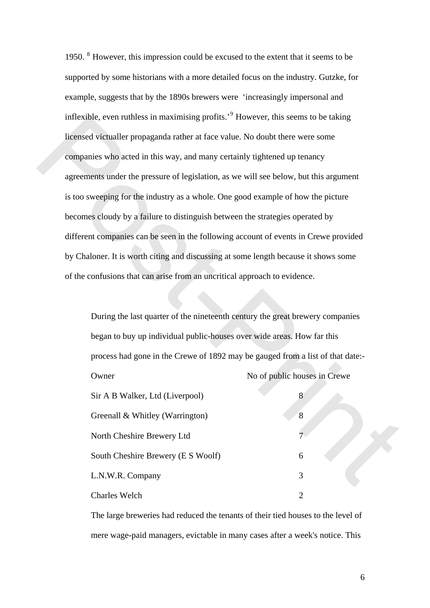1950. <sup>[8](#page-29-1)</sup> However, this impression could be excused to the extent that it seems to be supported by some historians with a more detailed focus on the industry. Gutzke, for example, suggests that by the 1890s brewers were 'increasingly impersonal and inflexible, even ruthless in maximising profits.<sup>[9](#page-29-1)</sup> However, this seems to be taking licensed victualler propaganda rather at face value. No doubt there were some companies who acted in this way, and many certainly tightened up tenancy agreements under the pressure of legislation, as we will see below, but this argument is too sweeping for the industry as a whole. One good example of how the picture becomes cloudy by a failure to distinguish between the strategies operated by different companies can be seen in the following account of events in Crewe provided by Chaloner. It is worth citing and discussing at some length because it shows some of the confusions that can arise from an uncritical approach to evidence.

During the last quarter of the nineteenth century the great brewery companies began to buy up individual public-houses over wide areas. How far this process had gone in the Crewe of 1892 may be gauged from a list of that date:- Owner No of public houses in Crewe Sir A B Walker, Ltd (Liverpool) 8 Greenall & Whitley (Warrington) 8 North Cheshire Brewery Ltd 7 South Cheshire Brewery (E S Woolf) 6 L.N.W.R. Company 3 Charles Welch 2 intexible, even nulness in maximising profits. "However, this seems to be taking<br>licensed victualler propaganda rather at face value. No doubt there were some<br>companies who acted in this way, and many certainly tightened u

> The large breweries had reduced the tenants of their tied houses to the level of mere wage-paid managers, evictable in many cases after a week's notice. This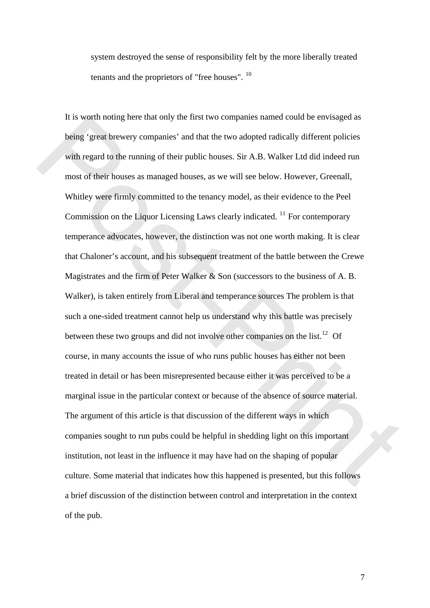system destroyed the sense of responsibility felt by the more liberally treated tenants and the proprietors of "free houses". [10](#page-29-1)

It is worth noting here that only the first two companies named could be envisaged as being 'great brewery companies' and that the two adopted radically different policies with regard to the running of their public houses. Sir A.B. Walker Ltd did indeed run most of their houses as managed houses, as we will see below. However, Greenall, Whitley were firmly committed to the tenancy model, as their evidence to the Peel Commission on the Liquor Licensing Laws clearly indicated.  $^{11}$  For contemporary temperance advocates, however, the distinction was not one worth making. It is clear that Chaloner's account, and his subsequent treatment of the battle between the Crewe Magistrates and the firm of Peter Walker & Son (successors to the business of A. B. Walker), is taken entirely from Liberal and temperance sources The problem is that such a one-sided treatment cannot help us understand why this battle was precisely between these two groups and did not involve other companies on the list.<sup>12</sup> Of course, in many accounts the issue of who runs public houses has either not been treated in detail or has been misrepresented because either it was perceived to be a marginal issue in the particular context or because of the absence of source material. The argument of this article is that discussion of the different ways in which companies sought to run pubs could be helpful in shedding light on this important institution, not least in the influence it may have had on the shaping of popular culture. Some material that indicates how this happened is presented, but this follows a brief discussion of the distinction between control and interpretation in the context of the pub. It is worth noting here that only the first two companies named could be envisaged as<br>being 'great browery companies' and that the two adopted radically different policies<br>with regard to the running of their public bouses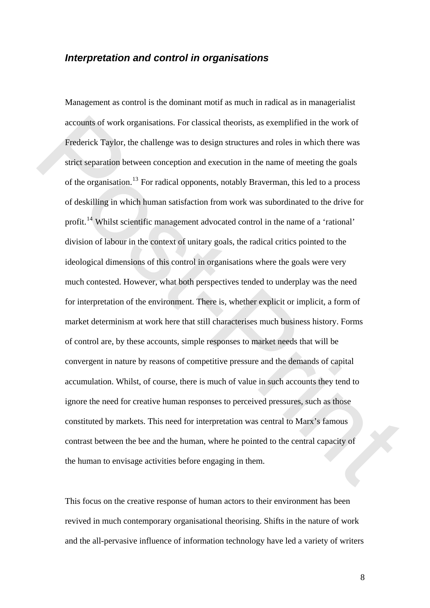### *Interpretation and control in organisations*

Management as control is the dominant motif as much in radical as in managerialist accounts of work organisations. For classical theorists, as exemplified in the work of Frederick Taylor, the challenge was to design structures and roles in which there was strict separation between conception and execution in the name of meeting the goals of the organisation.13 For radical opponents, notably Braverman, this led to a process of deskilling in which human satisfaction from work was subordinated to the drive for profit.14 Whilst scientific management advocated control in the name of a 'rational' division of labour in the context of unitary goals, the radical critics pointed to the ideological dimensions of this control in organisations where the goals were very much contested. However, what both perspectives tended to underplay was the need for interpretation of the environment. There is, whether explicit or implicit, a form of market determinism at work here that still characterises much business history. Forms of control are, by these accounts, simple responses to market needs that will be convergent in nature by reasons of competitive pressure and the demands of capital accumulation. Whilst, of course, there is much of value in such accounts they tend to ignore the need for creative human responses to perceived pressures, such as those constituted by markets. This need for interpretation was central to Marx's famous contrast between the bee and the human, where he pointed to the central capacity of the human to envisage activities before engaging in them. acc[o](#page-30-0)unts of work organisations. For classical theorists, as exemplified in the work of<br>Frederick Taylor. the challenge was to design structures and roles in which there was<br>strict separation between conception and executi

This focus on the creative response of human actors to their environment has been revived in much contemporary organisational theorising. Shifts in the nature of work and the all-pervasive influence of information technology have led a variety of writers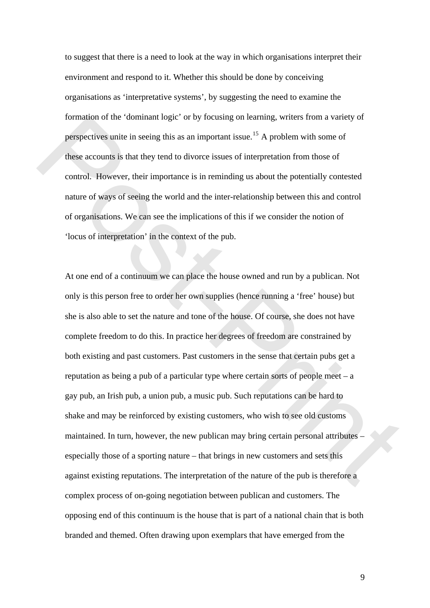to suggest that there is a need to look at the way in which organisations interpret their environment and respond to it. Whether this should be done by conceiving organisations as 'interpretative systems', by suggesting the need to examine the formation of the 'dominant logic' or by focusing on learning, writers from a variety of perspectives unite in seeing this as an important issue.<sup>15</sup> A problem with some of these accounts is that they tend to divorce issues of interpretation from those of control. However, their importance is in reminding us about the potentially contested nature of ways of seeing the world and the inter-relationship between this and control of organisations. We can see the implications of this if we consider the notion of 'locus of interpretation' in the context of the pub.

At one end of a continuum we can place the house owned and run by a publican. Not only is this person free to order her own supplies (hence running a 'free' house) but she is also able to set the nature and tone of the house. Of course, she does not have complete freedom to do this. In practice her degrees of freedom are constrained by both existing and past customers. Past customers in the sense that certain pubs get a reputation as being a pub of a particular type where certain sorts of people meet – a gay pub, an Irish pub, a union pub, a music pub. Such reputations can be hard to shake and may be reinforced by existing customers, who wish to see old customs maintained. In turn, however, the new publican may bring certain personal attributes – especially those of a sporting nature – that brings in new customers and sets this against existing reputations. The interpretation of the nature of the pub is therefore a complex process of on-going negotiation between publican and customers. The opposing end of this continuum is the house that is part of a national chain that is both branded and themed. Often drawing upon exemplars that have emerged from the Formation of the 'dominant logic' or by focusing on learning, writers from a variety of<br>perspectives unite in seeing this as an important issue.<sup>15</sup> A problem with some of<br>these accounts is that they tend to divorce issues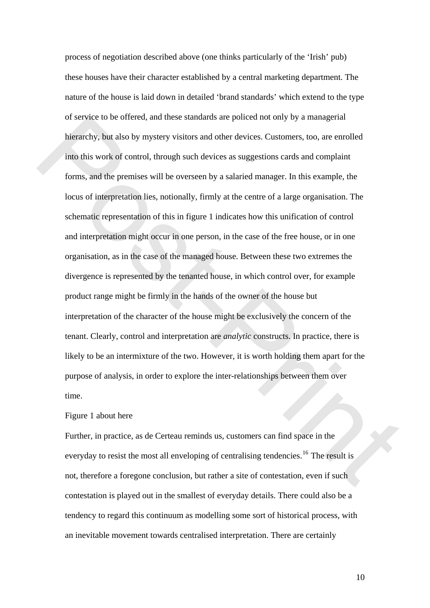process of negotiation described above (one thinks particularly of the 'Irish' pub) these houses have their character established by a central marketing department. The nature of the house is laid down in detailed 'brand standards' which extend to the type of service to be offered, and these standards are policed not only by a managerial hierarchy, but also by mystery visitors and other devices. Customers, too, are enrolled into this work of control, through such devices as suggestions cards and complaint forms, and the premises will be overseen by a salaried manager. In this example, the locus of interpretation lies, notionally, firmly at the centre of a large organisation. The schematic representation of this in figure 1 indicates how this unification of control and interpretation might occur in one person, in the case of the free house, or in one organisation, as in the case of the managed house. Between these two extremes the divergence is represented by the tenanted house, in which control over, for example product range might be firmly in the hands of the owner of the house but interpretation of the character of the house might be exclusively the concern of the tenant. Clearly, control and interpretation are *analytic* constructs. In practice, there is likely to be an intermixture of the two. However, it is worth holding them apart for the purpose of analysis, in order to explore the inter-relationships between them over time. of service to be offered, a[n](#page-30-0)d these standards are poticed not only by a managerial<br>hierarchy, but also by mystery visitors and other devices. Customers, too, are enrolled<br>into this, work of control, drough such devices as

#### Figure 1 about here

Further, in practice, as de Certeau reminds us, customers can find space in the everyday to resist the most all enveloping of centralising tendencies.<sup>16</sup> The result is not, therefore a foregone conclusion, but rather a site of contestation, even if such contestation is played out in the smallest of everyday details. There could also be a tendency to regard this continuum as modelling some sort of historical process, with an inevitable movement towards centralised interpretation. There are certainly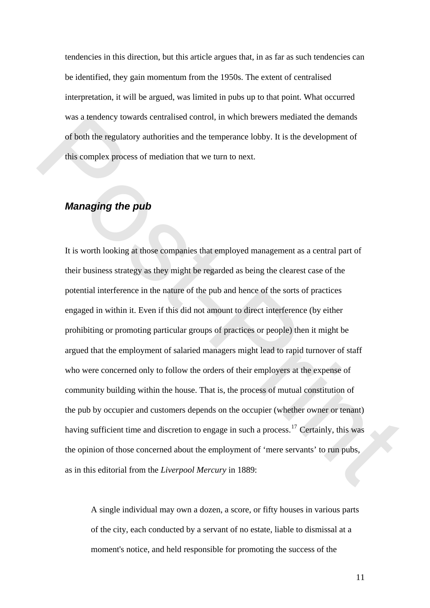tendencies in this direction, but this article argues that, in as far as such tendencies can be identified, they gain momentum from the 1950s. The extent of centralised interpretation, it will be argued, was limited in pubs up to that point. What occurred was a tendency towards centralised control, in which brewers mediated the demands of both the regulatory authorities and the temperance lobby. It is the development of this complex process of mediation that we turn to next.

## *Managing the pub*

It is worth looking at those companies that employed management as a central part of their business strategy as they might be regarded as being the clearest case of the potential interference in the nature of the pub and hence of the sorts of practices engaged in within it. Even if this did not amount to direct interference (by either prohibiting or promoting particular groups of practices or people) then it might be argued that the employment of salaried managers might lead to rapid turnover of staff who were concerned only to follow the orders of their employers at the expense of community building within the house. That is, the process of mutual constitution of the pub by occupier and customers depends on the occupier (whether owner or tenant) having sufficient time and discretion to engage in such a process.<sup>17</sup> Certainly, this was the opinion of those concerned about the employment of 'mere servants' to run pubs, as in this editorial from the *Liverpool Mercury* in 1889: was a tendency towards centratised control, in which newers mediated the demiates<br>of both the regulatory authorities and the temperature (obby. It is the development of<br>this complex process of mediation that we turn to nex

> A single individual may own a dozen, a score, or fifty houses in various parts of the city, each conducted by a servant of no estate, liable to dismissal at a moment's notice, and held responsible for promoting the success of the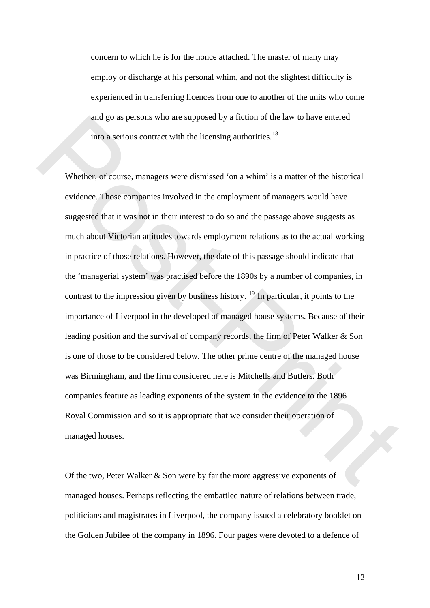concern to which he is for the nonce attached. The master of many may employ or discharge at his personal whim, and not the slightest difficulty is experienced in transferring licences from one to another of the units who come and go as persons who are supposed by a fiction of the law to have entered into a serious contract with the licensing authorities.<sup>18</sup>

Whether, of course, managers were dismissed 'on a whim' is a matter of the historical evidence. Those companies involved in the employment of managers would have suggested that it was not in their interest to do so and the passage above suggests as much about Victorian attitudes towards employment relations as to the actual working in practice of those relations. However, the date of this passage should indicate that the 'managerial system' was practised before the 1890s by a number of companies, in contrast to the impression given by business history. <sup>19</sup> In particular, it points to the importance of Liverpool in the developed of managed house systems. Because of their leading position and the survival of company records, the firm of Peter Walker & Son is one of those to be considered below. The other prime centre of the managed house was Birmingham, and the firm considered here is Mitchells and Butlers. Both companies feature as leading exponents of the system in the evidence to the 1896 Royal Commission and so it is appropriate that we consider their operation of managed houses. and go as persons who are supposed by a fiction of the law to have entered<br>into a serious contract with the licensing authorities.<sup>18</sup><br>Whether, of counse, managers were dismissed 'on a whim' is a matter of the historical<br>e

Of the two, Peter Walker & Son were by far the more aggressive exponents of managed houses. Perhaps reflecting the embattled nature of relations between trade, politicians and magistrates in Liverpool, the company issued a celebratory booklet on the Golden Jubilee of the company in 1896. Four pages were devoted to a defence of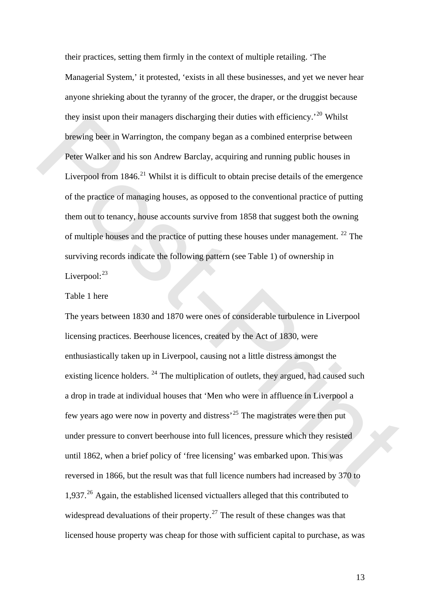their practices, setting them firmly in the context of multiple retailing. 'The Managerial System,' it protested, 'exists in all these businesses, and yet we never hear anyone shrieking about the tyranny of the grocer, the draper, or the druggist because they insist upon their managers discharging their duties with efficiency.<sup>[20](#page-30-0)</sup> Whilst brewing beer in Warrington, the company began as a combined enterprise between Peter Walker and his son Andrew Barclay, acquiring and running public houses in Liverpool from  $1846$ <sup>21</sup> Whilst it is difficult to obtain precise details of the emergence of the practice of managing houses, as opposed to the conventional practice of putting them out to tenancy, house accounts survive from 1858 that suggest both the owning of multiple houses and the practice of putting these houses under management. 22 The surviving records indicate the following pattern (see Table 1) of ownership in Liverpool: $^{23}$ 

#### Table 1 here

The years between 1830 and 1870 were ones of considerable turbulence in Liverpool licensing practices. Beerhouse licences, created by the Act of 1830, were enthusiastically taken up in Liverpool, causing not a little distress amongst the existing licence holders.  $24$  The multiplication of outlets, they argued, had caused such a drop in trade at individual houses that 'Men who were in affluence in Liverpool a few years ago were now in poverty and distress'25 The magistrates were then put under pressure to convert beerhouse into full licences, pressure which they resisted until 1862, when a brief policy of 'free licensing' was embarked upon. This was reversed in 1866, but the result was that full licence numbers had increased by 370 to 1,937. $^{26}$  $^{26}$  $^{26}$  Again, the established licensed victuallers alleged that this contributed to widespread devaluations of their property.<sup>[27](#page-31-0)</sup> The result of these changes was that licensed house property was cheap for those with sufficient capital to purchase, as was they insist up[o](#page-31-0)n their managers discharging their cuttes with efficency.<sup>2</sup> Whilst<br>brewing beer in Warrington, the company began as a combined enterprise between<br>Peter Walker and his son Andrew Barclay, acquiring and runni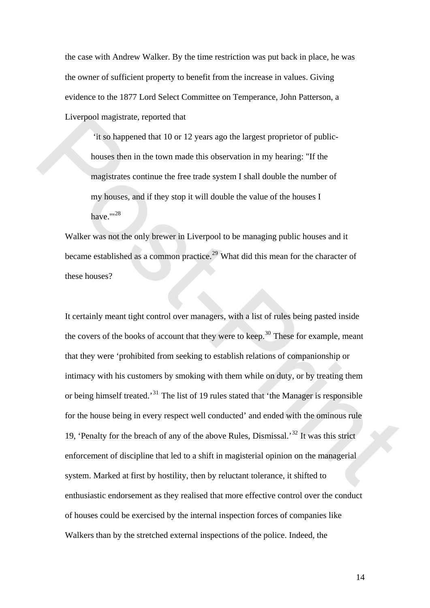the case with Andrew Walker. By the time restriction was put back in place, he was the owner of sufficient property to benefit from the increase in values. Giving evidence to the 1877 Lord Select Committee on Temperance, John Patterson, a Liverpool magistrate, reported that

 'it so happened that 10 or 12 years ago the largest proprietor of publichouses then in the town made this observation in my hearing: "If the magistrates continue the free trade system I shall double the number of my houses, and if they stop it will double the value of the houses I have."<sup>28</sup>

Walker was not the only brewer in Liverpool to be managing public houses and it became established as a common practice.<sup>29</sup> What did this mean for the character of these houses?

It certainly meant tight control over managers, with a list of rules being pasted inside the covers of the books of account that they were to keep.<sup>30</sup> These for example, meant that they were 'prohibited from seeking to establish relations of companionship or intimacy with his customers by smoking with them while on duty, or by treating them or being himself treated.'31 The list of 19 rules stated that 'the Manager is responsible for the house being in every respect well conducted' and ended with the ominous rule 19, 'Penalty for the breach of any of the above Rules, Dismissal.'32 It was this strict enforcement of discipline that led to a shift in magisterial opinion on the managerial system. Marked at first by hostility, then by reluctant tolerance, it shifted to enthusiastic endorsement as they realised that more effective control over the conduct of houses could be exercised by the internal inspection forces of companies like Walkers than by the stretched external inspections of the police. Indeed, the Every[o](#page-31-0)on magni[t](#page-31-0)rate, reported that<br>
"It so happened that 10 or 12 years ago the largest proprietor of public-<br>
houses then in the town made this observation in my hearing: "If the<br>
magistrates continue the free trade syst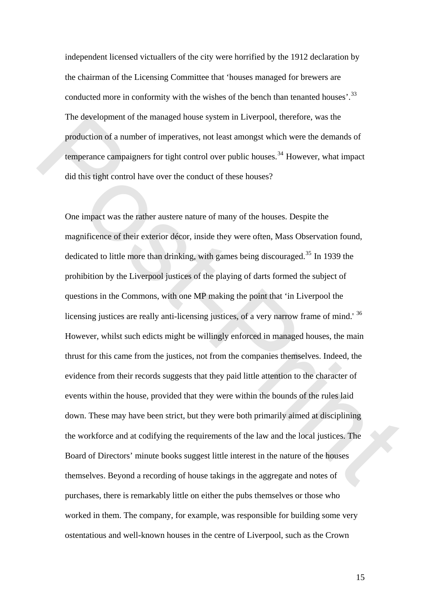independent licensed victuallers of the city were horrified by the 1912 declaration by the chairman of the Licensing Committee that 'houses managed for brewers are conducted more in conformity with the wishes of the bench than tenanted houses'.<sup>[33](#page-31-0)</sup> The development of the managed house system in Liverpool, therefore, was the production of a number of imperatives, not least amongst which were the demands of temperance campaigners for tight control over public houses.<sup>34</sup> However, what impact did this tight control have over the conduct of these houses?

One impact was the rather austere nature of many of the houses. Despite the magnificence of their exterior décor, inside they were often, Mass Observation found, dedicated to little more than drinking, with games being discouraged.<sup>35</sup> In 1939 the prohibition by the Liverpool justices of the playing of darts formed the subject of questions in the Commons, with one MP making the point that 'in Liverpool the licensing justices are really anti-licensing justices, of a very narrow frame of mind.' <sup>36</sup> However, whilst such edicts might be willingly enforced in managed houses, the main thrust for this came from the justices, not from the companies themselves. Indeed, the evidence from their records suggests that they paid little attention to the character of events within the house, provided that they were within the bounds of the rules laid down. These may have been strict, but they were both primarily aimed at disciplining the workforce and at codifying the requirements of the law and the local justices. The Board of Directors' minute books suggest little interest in the nature of the houses themselves. Beyond a recording of house takings in the aggregate and notes of purchases, there is remarkably little on either the pubs themselves or those who worked in them. The company, for example, was responsible for building some very ostentatious and well-known houses in the centre of Liverpool, such as the Crown The development of the managed nouse system in Liverpool, therefooe, was the<br>production of a number of imperatives, not least amongst which were the demands of<br>temperance campaigners for tight control over public houses.<sup>3</sup>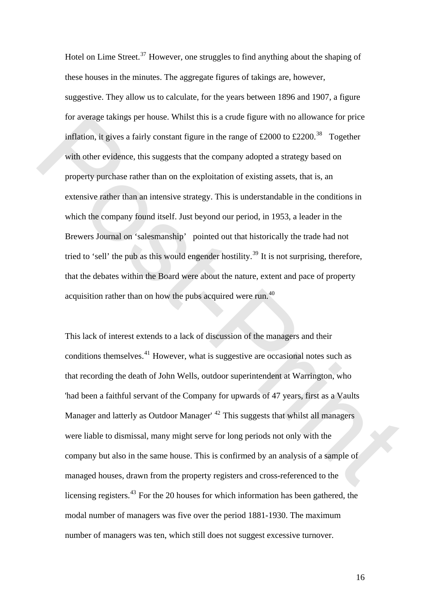Hotel on Lime Street.<sup>[37](#page-31-0)</sup> However, one struggles to find anything about the shaping of these houses in the minutes. The aggregate figures of takings are, however, suggestive. They allow us to calculate, for the years between 1896 and 1907, a figure for average takings per house. Whilst this is a crude figure with no allowance for price inflation, it gives a fairly constant figure in the range of  $\text{\pounds}2000$  to  $\text{\pounds}2200$ .<sup>38</sup> Together with other evidence, this suggests that the company adopted a strategy based on property purchase rather than on the exploitation of existing assets, that is, an extensive rather than an intensive strategy. This is understandable in the conditions in which the company found itself. Just beyond our period, in 1953, a leader in the Brewers Journal on 'salesmanship' pointed out that historically the trade had not tried to 'sell' the pub as this would engender hostility.<sup>39</sup> It is not surprising, therefore, that the debates within the Board were about the nature, extent and pace of property acquisition rather than on how the pubs acquired were run.<sup>40</sup> for average takings per house. Whilst this is a crute figure with no allowance for price<br>inflation, it gives a fairly constant figure in the range of £2000 to £2200.<sup>38</sup> Together<br>with other evidence, this suggests that th

This lack of interest extends to a lack of discussion of the managers and their conditions themselves.<sup>41</sup> However, what is suggestive are occasional notes such as that recording the death of John Wells, outdoor superintendent at Warrington, who 'had been a faithful servant of the Company for upwards of 47 years, first as a Vaults Manager and latterly as Outdoor Manager'<sup>42</sup> This suggests that whilst all managers were liable to dismissal, many might serve for long periods not only with the company but also in the same house. This is confirmed by an analysis of a sample of managed houses, drawn from the property registers and cross-referenced to the licensing registers.<sup>[43](#page-32-0)</sup> For the 20 houses for which information has been gathered, the modal number of managers was five over the period 1881-1930. The maximum number of managers was ten, which still does not suggest excessive turnover.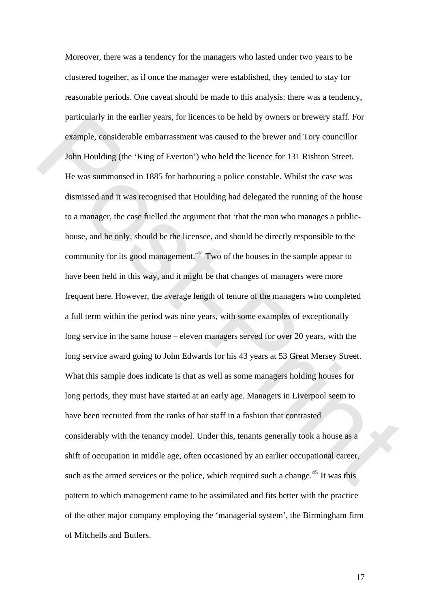Moreover, there was a tendency for the managers who lasted under two years to be clustered together, as if once the manager were established, they tended to stay for reasonable periods. One caveat should be made to this analysis: there was a tendency, particularly in the earlier years, for licences to be held by owners or brewery staff. For example, considerable embarrassment was caused to the brewer and Tory councillor John Houlding (the 'King of Everton') who held the licence for 131 Rishton Street. He was summonsed in 1885 for harbouring a police constable. Whilst the case was dismissed and it was recognised that Houlding had delegated the running of the house to a manager, the case fuelled the argument that 'that the man who manages a publichouse, and he only, should be the licensee, and should be directly responsible to the community for its good management.<sup>44</sup> Two of the houses in the sample appear to have been held in this way, and it might be that changes of managers were more frequent here. However, the average length of tenure of the managers who completed a full term within the period was nine years, with some examples of exceptionally long service in the same house – eleven managers served for over 20 years, with the long service award going to John Edwards for his 43 years at 53 Great Mersey Street. What this sample does indicate is that as well as some managers holding houses for long periods, they must have started at an early age. Managers in Liverpool seem to have been recruited from the ranks of bar staff in a fashion that contrasted considerably with the tenancy model. Under this, tenants generally took a house as a shift of occupation in middle age, often occasioned by an earlier occupational career, such as the armed services or the police, which required such a change.<sup>45</sup> It was this pattern to which management came to be assimilated and fits better with the practice of the other major company employing the 'managerial system', the Birmingham firm of Mitchells and Butlers. par[t](#page-32-0)icularly in the earlier years, for incences to be neta by owners or brewery start. For<br>
crample, considerable embarrassment was caused to the brewer and Tory councillor<br>
John Houlding (the 'King of Everton') who held t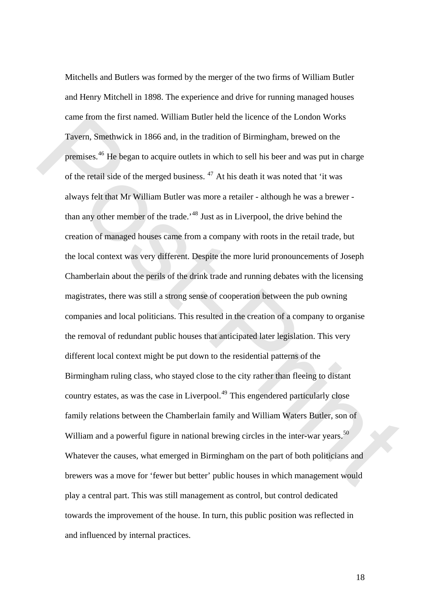Mitchells and Butlers was formed by the merger of the two firms of William Butler and Henry Mitchell in 1898. The experience and drive for running managed houses came from the first named. William Butler held the licence of the London Works Tavern, Smethwick in 1866 and, in the tradition of Birmingham, brewed on the premises.46 He began to acquire outlets in which to sell his beer and was put in charge of the retail side of the merged business. 47 At his death it was noted that 'it was always felt that Mr William Butler was more a retailer - although he was a brewer than any other member of the trade.'48 Just as in Liverpool, the drive behind the creation of managed houses came from a company with roots in the retail trade, but the local context was very different. Despite the more lurid pronouncements of Joseph Chamberlain about the perils of the drink trade and running debates with the licensing magistrates, there was still a strong sense of cooperation between the pub owning companies and local politicians. This resulted in the creation of a company to organise the removal of redundant public houses that anticipated later legislation. This very different local context might be put down to the residential patterns of the Birmingham ruling class, who stayed close to the city rather than fleeing to distant country estates, as was the case in Liverpool.<sup>49</sup> This engendered particularly close family relations between the Chamberlain family and William Waters Butler, son of William and a powerful figure in national brewing circles in the inter-war years.<sup>50</sup> Whatever the causes, what emerged in Birmingham on the part of both politicians and brewers was a move for 'fewer but better' public houses in which management would play a central part. This was still management as control, but control dedicated towards the improvement of the house. In turn, this public position was reflected in and influenced by internal practices. canne from the fir[s](#page-32-0)t named. William Butter head the licence of the London works<br>Taven, Smethvick in 1866 and, in the tradition of Birmingham, brewed on the<br>premises.<sup>48</sup> He began to acquire outless in which to sell his be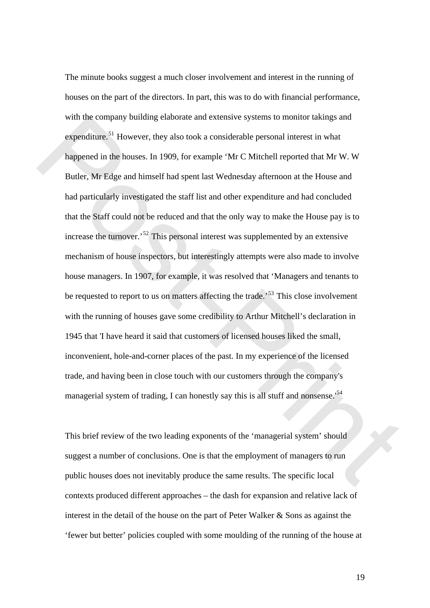The minute books suggest a much closer involvement and interest in the running of houses on the part of the directors. In part, this was to do with financial performance, with the company building elaborate and extensive systems to monitor takings and expenditure.<sup>51</sup> However, they also took a considerable personal interest in what happened in the houses. In 1909, for example 'Mr C Mitchell reported that Mr W. W Butler, Mr Edge and himself had spent last Wednesday afternoon at the House and had particularly investigated the staff list and other expenditure and had concluded that the Staff could not be reduced and that the only way to make the House pay is to increase the turnover.'52 This personal interest was supplemented by an extensive mechanism of house inspectors, but interestingly attempts were also made to involve house managers. In 1907, for example, it was resolved that 'Managers and tenants to be requested to report to us on matters affecting the trade.<sup>553</sup> This close involvement with the running of houses gave some credibility to Arthur Mitchell's declaration in 1945 that 'I have heard it said that customers of licensed houses liked the small, inconvenient, hole-and-corner places of the past. In my experience of the licensed trade, and having been in close touch with our customers through the company's managerial system of trading, I can honestly say this is all stuff and nonsense.<sup>54</sup> with the company buita[in](#page-33-0)g elaborate and extensive systems to momitor takings and<br>expenditure.<sup>24</sup> However, they also took a considerable personal interest in what<br>happened in the houses. In 1909, for example 'Mr C Michell

This brief review of the two leading exponents of the 'managerial system' should suggest a number of conclusions. One is that the employment of managers to run public houses does not inevitably produce the same results. The specific local contexts produced different approaches – the dash for expansion and relative lack of interest in the detail of the house on the part of Peter Walker & Sons as against the 'fewer but better' policies coupled with some moulding of the running of the house at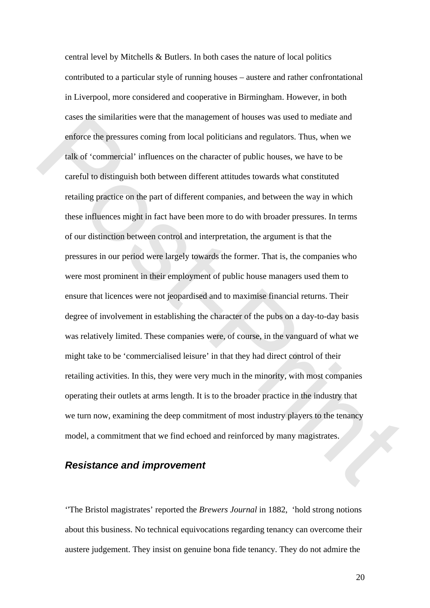central level by Mitchells & Butlers. In both cases the nature of local politics contributed to a particular style of running houses – austere and rather confrontational in Liverpool, more considered and cooperative in Birmingham. However, in both cases the similarities were that the management of houses was used to mediate and enforce the pressures coming from local politicians and regulators. Thus, when we talk of 'commercial' influences on the character of public houses, we have to be careful to distinguish both between different attitudes towards what constituted retailing practice on the part of different companies, and between the way in which these influences might in fact have been more to do with broader pressures. In terms of our distinction between control and interpretation, the argument is that the pressures in our period were largely towards the former. That is, the companies who were most prominent in their employment of public house managers used them to ensure that licences were not jeopardised and to maximise financial returns. Their degree of involvement in establishing the character of the pubs on a day-to-day basis was relatively limited. These companies were, of course, in the vanguard of what we might take to be 'commercialised leisure' in that they had direct control of their retailing activities. In this, they were very much in the minority, with most companies operating their outlets at arms length. It is to the broader practice in the industry that we turn now, examining the deep commitment of most industry players to the tenancy model, a commitment that we find echoed and reinforced by many magistrates. cases the similarities were that the management of nosess was used to mediate and<br>enforce the pressures coming from local politicians and regulators. Thus, when we<br>calls of 'commercial' influences on the character of publi

### *Resistance and improvement*

''The Bristol magistrates' reported the *Brewers Journal* in 1882, 'hold strong notions about this business. No technical equivocations regarding tenancy can overcome their austere judgement. They insist on genuine bona fide tenancy. They do not admire the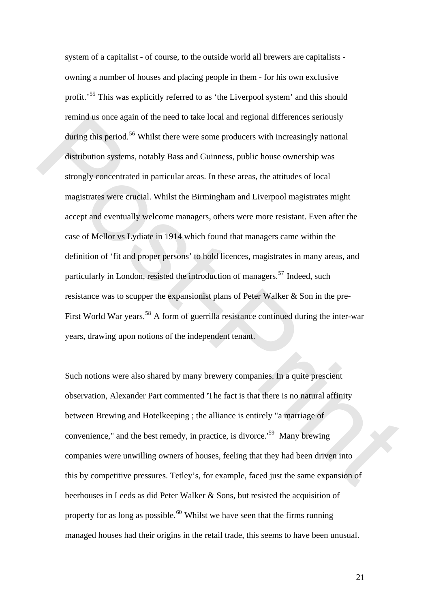system of a capitalist - of course, to the outside world all brewers are capitalists owning a number of houses and placing people in them - for his own exclusive profit.'[55](#page-33-0) This was explicitly referred to as 'the Liverpool system' and this should remind us once again of the need to take local and regional differences seriously during this period.<sup>56</sup> Whilst there were some producers with increasingly national distribution systems, notably Bass and Guinness, public house ownership was strongly concentrated in particular areas. In these areas, the attitudes of local magistrates were crucial. Whilst the Birmingham and Liverpool magistrates might accept and eventually welcome managers, others were more resistant. Even after the case of Mellor vs Lydiate in 1914 which found that managers came within the definition of 'fit and proper persons' to hold licences, magistrates in many areas, and particularly in London, resisted the introduction of managers.<sup>57</sup> Indeed, such resistance was to scupper the expansionist plans of Peter Walker & Son in the pre-First World War years.<sup>58</sup> A form of guerrilla resistance continued during the inter-war years, drawing upon notions of the independent tenant. reninal as once again of the need to take tocal and regional differences seriously<br>during this period.<sup>26</sup> Whilst there were some producers with increasingly national<br>distribution systems, notably Bass and Guinness, public

Such notions were also shared by many brewery companies. In a quite prescient observation, Alexander Part commented 'The fact is that there is no natural affinity between Brewing and Hotelkeeping ; the alliance is entirely "a marriage of convenience," and the best remedy, in practice, is divorce.'59 Many brewing companies were unwilling owners of houses, feeling that they had been driven into this by competitive pressures. Tetley's, for example, faced just the same expansion of beerhouses in Leeds as did Peter Walker & Sons, but resisted the acquisition of property for as long as possible.<sup>[60](#page-33-0)</sup> Whilst we have seen that the firms running managed houses had their origins in the retail trade, this seems to have been unusual.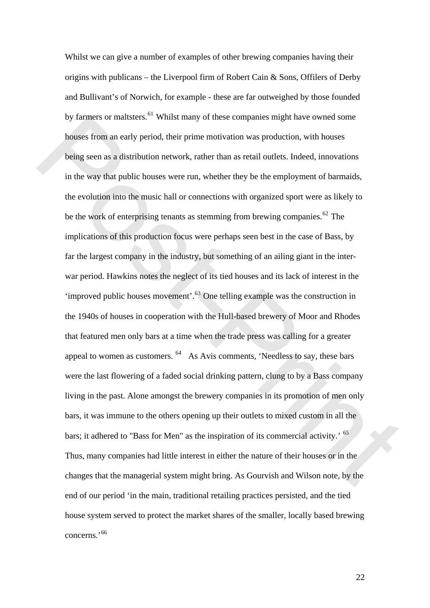Whilst we can give a number of examples of other brewing companies having their origins with publicans – the Liverpool firm of Robert Cain & Sons, Offilers of Derby and Bullivant's of Norwich, for example - these are far outweighed by those founded by farmers or maltsters.<sup>[61](#page-33-0)</sup> Whilst many of these companies might have owned some houses from an early period, their prime motivation was production, with houses being seen as a distribution network, rather than as retail outlets. Indeed, innovations in the way that public houses were run, whether they be the employment of barmaids, the evolution into the music hall or connections with organized sport were as likely to be the work of enterprising tenants as stemming from brewing companies.<sup>62</sup> The implications of this production focus were perhaps seen best in the case of Bass, by far the largest company in the industry, but something of an ailing giant in the interwar period. Hawkins notes the neglect of its tied houses and its lack of interest in the 'improved public houses movement'.63 One telling example was the construction in the 1940s of houses in cooperation with the Hull-based brewery of Moor and Rhodes that featured men only bars at a time when the trade press was calling for a greater appeal to women as customers. 64 As Avis comments, 'Needless to say, these bars were the last flowering of a faded social drinking pattern, clung to by a Bass company living in the past. Alone amongst the brewery companies in its promotion of men only bars, it was immune to the others opening up their outlets to mixed custom in all the bars; it adhered to "Bass for Men" as the inspiration of its commercial activity.' <sup>65</sup> Thus, many companies had little interest in either the nature of their houses or in the changes that the managerial system might bring. As Gourvish and Wilson note, by the end of our period 'in the main, traditional retailing practices persisted, and the tied house system served to protect the market shares of the smaller, locally based brewing concerns.'[66](#page-33-0) by Tarmers or mailsters.<sup>22</sup> Whilst many of these companes imppli have owned some<br>houses from an early period, their prime motivation was production, with houses<br>being seen as a distribution network, rather than as retail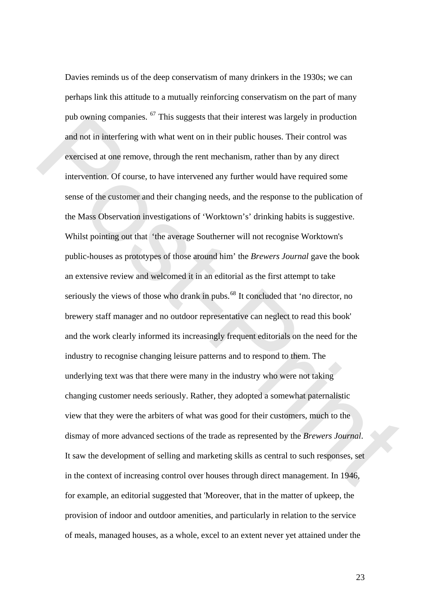Davies reminds us of the deep conservatism of many drinkers in the 1930s; we can perhaps link this attitude to a mutually reinforcing conservatism on the part of many pub owning companies. [67](#page-33-0) This suggests that their interest was largely in production and not in interfering with what went on in their public houses. Their control was exercised at one remove, through the rent mechanism, rather than by any direct intervention. Of course, to have intervened any further would have required some sense of the customer and their changing needs, and the response to the publication of the Mass Observation investigations of 'Worktown's' drinking habits is suggestive. Whilst pointing out that 'the average Southerner will not recognise Worktown's public-houses as prototypes of those around him' the *Brewers Journal* gave the book an extensive review and welcomed it in an editorial as the first attempt to take seriously the views of those who drank in pubs.<sup>68</sup> It concluded that 'no director, no brewery staff manager and no outdoor representative can neglect to read this book' and the work clearly informed its increasingly frequent editorials on the need for the industry to recognise changing leisure patterns and to respond to them. The underlying text was that there were many in the industry who were not taking changing customer needs seriously. Rather, they adopted a somewhat paternalistic view that they were the arbiters of what was good for their customers, much to the dismay of more advanced sections of the trade as represented by the *Brewers Journal*. It saw the development of selling and marketing skills as central to such responses, set in the context of increasing control over houses through direct management. In 1946, for example, an editorial suggested that 'Moreover, that in the matter of upkeep, the provision of indoor and outdoor amenities, and particularly in relation to the service of meals, managed houses, as a whole, excel to an extent never yet attained under the pub owning companies. <sup>\*</sup> Ins sugges[t](#page-34-0)s linather interest was largely in production<br>and not in interfering with what went on in their public houses. Their control was<br>exercised at one remove, through the rent mechanism, rat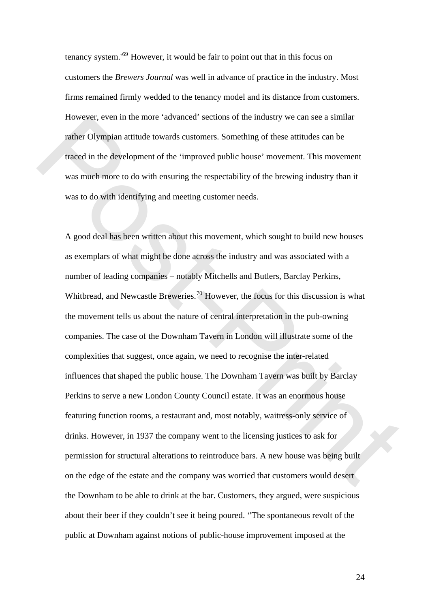tenancy system.'[69](#page-34-0) However, it would be fair to point out that in this focus on customers the *Brewers Journal* was well in advance of practice in the industry. Most firms remained firmly wedded to the tenancy model and its distance from customers. However, even in the more 'advanced' sections of the industry we can see a similar rather Olympian attitude towards customers. Something of these attitudes can be traced in the development of the 'improved public house' movement. This movement was much more to do with ensuring the respectability of the brewing industry than it was to do with identifying and meeting customer needs.

A good deal has been written about this movement, which sought to build new houses as exemplars of what might be done across the industry and was associated with a number of leading companies – notably Mitchells and Butlers, Barclay Perkins, Whitbread, and Newcastle Breweries.<sup>70</sup> However, the focus for this discussion is what the movement tells us about the nature of central interpretation in the pub-owning companies. The case of the Downham Tavern in London will illustrate some of the complexities that suggest, once again, we need to recognise the inter-related influences that shaped the public house. The Downham Tavern was built by Barclay Perkins to serve a new London County Council estate. It was an enormous house featuring function rooms, a restaurant and, most notably, waitress-only service of drinks. However, in 1937 the company went to the licensing justices to ask for permission for structural alterations to reintroduce bars. A new house was being built on the edge of the estate and the company was worried that customers would desert the Downham to be able to drink at the bar. Customers, they argued, were suspicious about their beer if they couldn't see it being poured. ''The spontaneous revolt of the public at Downham against notions of public-house improvement imposed at the However, even in the none 'advanced' sections of the matistry we can see a similar<br>rather Olympian attitude towards eustomers. Something of these attitudes can be<br>traced in the development of the 'improved public house' mo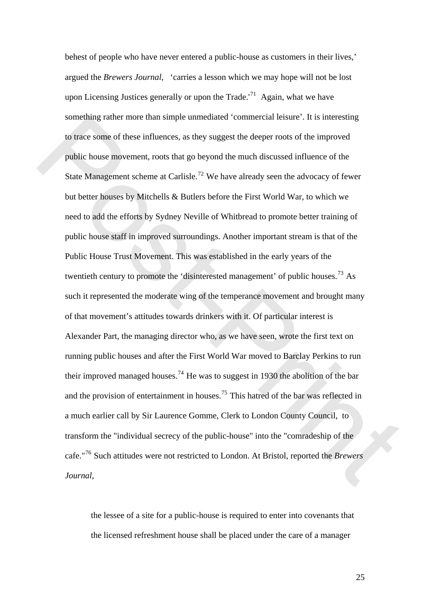behest of people who have never entered a public-house as customers in their lives,' argued the *Brewers Journal*, 'carries a lesson which we may hope will not be lost upon Licensing Justices generally or upon the Trade.<sup>'[71](#page-34-0)</sup> Again, what we have something rather more than simple unmediated 'commercial leisure'. It is interesting to trace some of these influences, as they suggest the deeper roots of the improved public house movement, roots that go beyond the much discussed influence of the State Management scheme at Carlisle.<sup>72</sup> We have already seen the advocacy of fewer but better houses by Mitchells & Butlers before the First World War, to which we need to add the efforts by Sydney Neville of Whitbread to promote better training of public house staff in improved surroundings. Another important stream is that of the Public House Trust Movement. This was established in the early years of the twentieth century to promote the 'disinterested management' of public houses.<sup>73</sup> As such it represented the moderate wing of the temperance movement and brought many of that movement's attitudes towards drinkers with it. Of particular interest is Alexander Part, the managing director who, as we have seen, wrote the first text on running public houses and after the First World War moved to Barclay Perkins to run their improved managed houses.<sup>74</sup> He was to suggest in 1930 the abolition of the bar and the provision of entertainment in houses.<sup>75</sup> This hatred of the bar was reflected in a much earlier call by Sir Laurence Gomme, Clerk to London County Council, to transform the "individual secrecy of the public-house" into the "comradeship of the cafe."76 Such attitudes were not restricted to London. At Bristol, reported the *Brewers Journal*, sometining rather more than simple unmeatated "cominercial lessire". It is interesting<br>to trace some of these influences, as they suggest the deeper roots of the improved<br>public house movement, roots that go beyond the mu

> the lessee of a site for a public-house is required to enter into covenants that the licensed refreshment house shall be placed under the care of a manager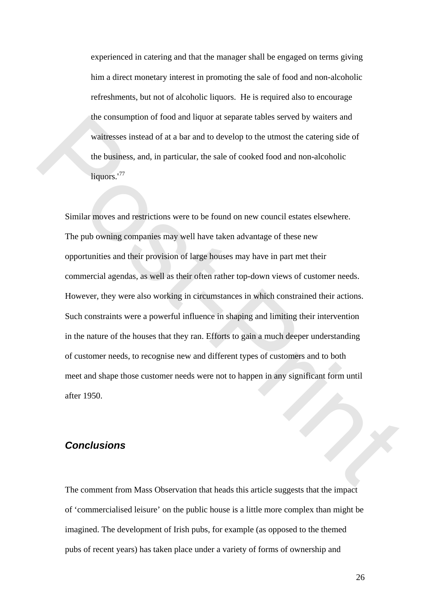experienced in catering and that the manager shall be engaged on terms giving him a direct monetary interest in promoting the sale of food and non-alcoholic refreshments, but not of alcoholic liquors. He is required also to encourage the consumption of food and liquor at separate tables served by waiters and waitresses instead of at a bar and to develop to the utmost the catering side of the business, and, in particular, the sale of cooked food and non-alcoholic liquors.'<sup>77</sup>

Similar moves and restrictions were to be found on new council estates elsewhere. The pub owning companies may well have taken advantage of these new opportunities and their provision of large houses may have in part met their commercial agendas, as well as their often rather top-down views of customer needs. However, they were also working in circumstances in which constrained their actions. Such constraints were a powerful influence in shaping and limiting their intervention in the nature of the houses that they ran. Efforts to gain a much deeper understanding of customer needs, to recognise new and different types of customers and to both meet and shape those customer needs were not to happen in any significant form until after 1950. the consumption of food and fiquor at separate tables served by watters and<br>wattresses instead of at a bar and to develop to the utmost the catering side of<br>the husiness, and, in particular, the sale of cooked food and non

## *Conclusions*

The comment from Mass Observation that heads this article suggests that the impact of 'commercialised leisure' on the public house is a little more complex than might be imagined. The development of Irish pubs, for example (as opposed to the themed pubs of recent years) has taken place under a variety of forms of ownership and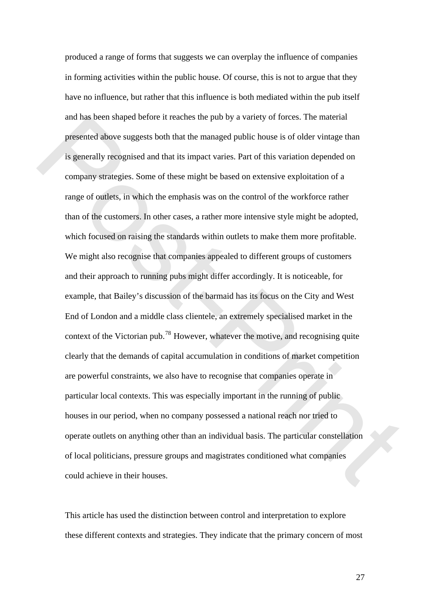produced a range of forms that suggests we can overplay the influence of companies in forming activities within the public house. Of course, this is not to argue that they have no influence, but rather that this influence is both mediated within the pub itself and has been shaped before it reaches the pub by a variety of forces. The material presented above suggests both that the managed public house is of older vintage than is generally recognised and that its impact varies. Part of this variation depended on company strategies. Some of these might be based on extensive exploitation of a range of outlets, in which the emphasis was on the control of the workforce rather than of the customers. In other cases, a rather more intensive style might be adopted, which focused on raising the standards within outlets to make them more profitable. We might also recognise that companies appealed to different groups of customers and their approach to running pubs might differ accordingly. It is noticeable, for example, that Bailey's discussion of the barmaid has its focus on the City and West End of London and a middle class clientele, an extremely specialised market in the context of the Victorian pub.<sup>78</sup> However, whatever the motive, and recognising quite clearly that the demands of capital accumulation in conditions of market competition are powerful constraints, we also have to recognise that companies operate in particular local contexts. This was especially important in the running of public houses in our period, when no company possessed a national reach nor tried to operate outlets on anything other than an individual basis. The particular constellation of local politicians, pressure groups and magistrates conditioned what companies could achieve in their houses. and nas been sinaped before it reaches life pub by a variety of forces. The material<br>presented above suggests both that the managed public house is of older vintage than<br>is generally pecognised and that its impact varies.

This article has used the distinction between control and interpretation to explore these different contexts and strategies. They indicate that the primary concern of most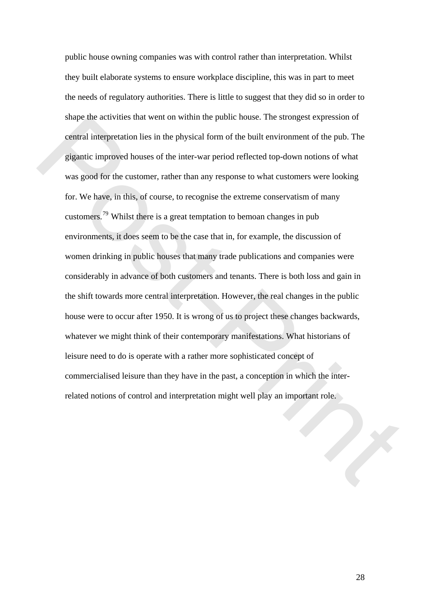public house owning companies was with control rather than interpretation. Whilst they built elaborate systems to ensure workplace discipline, this was in part to meet the needs of regulatory authorities. There is little to suggest that they did so in order to shape the activities that went on within the public house. The strongest expression of central interpretation lies in the physical form of the built environment of the pub. The gigantic improved houses of the inter-war period reflected top-down notions of what was good for the customer, rather than any response to what customers were looking for. We have, in this, of course, to recognise the extreme conservatism of many customers.79 Whilst there is a great temptation to bemoan changes in pub environments, it does seem to be the case that in, for example, the discussion of women drinking in public houses that many trade publications and companies were considerably in advance of both customers and tenants. There is both loss and gain in the shift towards more central interpretation. However, the real changes in the public house were to occur after 1950. It is wrong of us to project these changes backwards, whatever we might think of their contemporary manifestations. What historians of leisure need to do is operate with a rather more sophisticated concept of commercialised leisure than they have in the past, a conception in which the interrelated notions of control and interpretation might well play an important role. stape the activities that wend [o](#page-34-0)n within the public house. The strongest expression of<br>central interpretation lies in the physical form of the buit cuvironment of the pub. The<br>giganitic improved houses of the inter-war per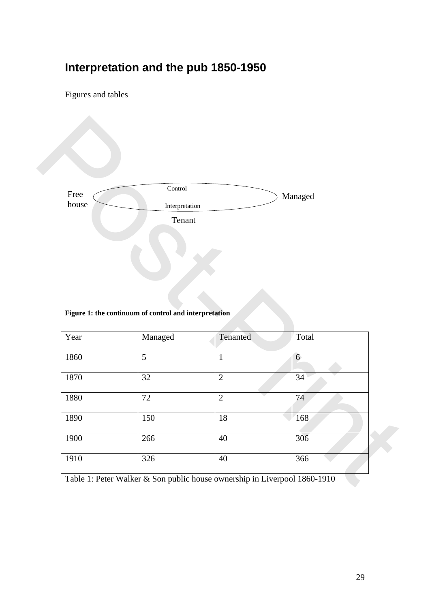# **Interpretation and the pub 1850-1950**

Figures and tables

| Free  | Control        | Managed |
|-------|----------------|---------|
| house | Interpretation |         |
|       | Tenant         |         |
|       |                |         |

|  | Figure 1: the continuum of control and interpretation |  |  |  |
|--|-------------------------------------------------------|--|--|--|
|  |                                                       |  |  |  |

| Free         | Control                                               |                | Managed         |
|--------------|-------------------------------------------------------|----------------|-----------------|
| house        | Interpretation                                        |                |                 |
|              | Tenant                                                |                |                 |
|              |                                                       |                |                 |
|              |                                                       |                |                 |
|              |                                                       |                |                 |
|              |                                                       |                |                 |
|              |                                                       |                |                 |
|              |                                                       |                |                 |
|              |                                                       |                |                 |
|              | Figure 1: the continuum of control and interpretation |                |                 |
| Year         | Managed                                               | Tenanted       | Total           |
| 1860         | $\overline{5}$                                        | $\mathbf{1}$   | $6\overline{6}$ |
|              |                                                       |                |                 |
| 1870         | 32                                                    | $\overline{2}$ | 34              |
| 1880         | 72                                                    | $\overline{2}$ | 74              |
|              | 150                                                   | 18             | 168             |
| 1890<br>1900 | 266                                                   | 40             | 306             |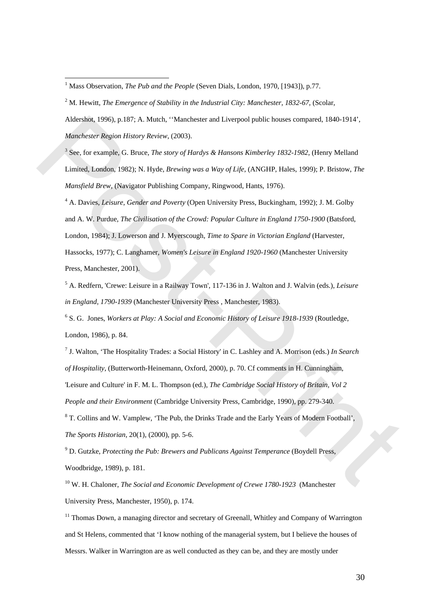Aldershot, 1996), p.187; A. Mutch, ''Manchester and Liverpool public houses compared, 1840-1914', *Manchester Region History Review*, (2003).

3 See, for example, G. Bruce, *The story of Hardys & Hansons Kimberley 1832-1982*, (Henry Melland Limited, London, 1982); N. Hyde, *Brewing was a Way of Life*, (ANGHP, Hales, 1999); P. Bristow, *The Mansfield Brew*, (Navigator Publishing Company, Ringwood, Hants, 1976).

4 A. Davies, *Leisure, Gender and Poverty* (Open University Press, Buckingham, 1992); J. M. Golby and A. W. Purdue, *The Civilisation of the Crowd: Popular Culture in England 1750-1900* (Batsford, London, 1984); J. Lowerson and J. Myerscough, *Time to Spare in Victorian England* (Harvester, Hassocks, 1977); C. Langhamer, *Women's Leisure in England 1920-1960* (Manchester University Press, Manchester, 2001).

5 A. Redfern, 'Crewe: Leisure in a Railway Town', 117-136 in J. Walton and J. Walvin (eds.), *Leisure in England, 1790-1939* (Manchester University Press , Manchester, 1983).

6 S. G. Jones, *Workers at Play: A Social and Economic History of Leisure 1918-1939* (Routledge, London, 1986), p. 84.

<span id="page-29-0"></span>7 J. Walton, 'The Hospitality Trades: a Social History' in C. Lashley and A. Morrison (eds.) *In Search of Hospitality*, (Butterworth-Heinemann, Oxford, 2000), p. 70. Cf comments in H. Cunningham, 'Leisure and Culture' in F. M. L. Thompson (ed.), *The Cambridge Social History of Britain, Vol 2 People and their Environment* (Cambridge University Press, Cambridge, 1990), pp. 279-340. <sup>8</sup> T. Collins and W. Vamplew, 'The Pub, the Drinks Trade and the Early Years of Modern Football', Aldecshör, 1996; p.187: A. Musch, "Manchester and Liverpool public houses compared. 1840-1914",<br>
Manchester Region History Review, 2003).<br>
Succ., the example, C. Huster, The strength Hardes & Harocans Kinherley 1837-1982;

*The Sports Historian*, 20(1), (2000), pp. 5-6.

9 D. Gutzke, *Protecting the Pub: Brewers and Publicans Against Temperance* (Boydell Press, Woodbridge, 1989), p. 181.

10 W. H. Chaloner, *The Social and Economic Development of Crewe 1780-1923* (Manchester University Press, Manchester, 1950), p. 174.

<sup>11</sup> Thomas Down, a managing director and secretary of Greenall, Whitley and Company of Warrington and St Helens, commented that 'I know nothing of the managerial system, but I believe the houses of Messrs. Walker in Warrington are as well conducted as they can be, and they are mostly under

<span id="page-29-1"></span> 1 Mass Observation, *The Pub and the People* (Seven Dials, London, 1970, [1943]), p.77.

<sup>2</sup> M. Hewitt, *The Emergence of Stability in the Industrial City: Manchester, 1832-67*, (Scolar,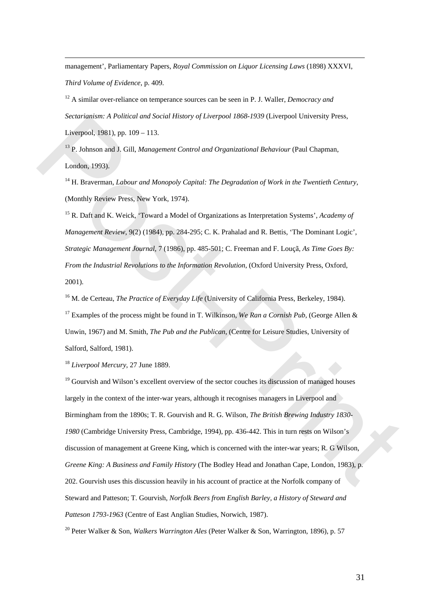<span id="page-30-0"></span>management', Parliamentary Papers, *Royal Commission on Liquor Licensing Laws* (1898) XXXVI, *Third Volume of Evidence*, p. 409.

12 A similar over-reliance on temperance sources can be seen in P. J. Waller, *Democracy and Sectarianism: A Political and Social History of Liverpool 1868-1939* (Liverpool University Press, Liverpool, 1981), pp. 109 – 113.

13 P. Johnson and J. Gill, *Management Control and Organizational Behaviour* (Paul Chapman, London, 1993).

14 H. Braverman, *Labour and Monopoly Capital: The Degradation of Work in the Twentieth Century*, (Monthly Review Press, New York, 1974).

15 R. Daft and K. Weick, 'Toward a Model of Organizations as Interpretation Systems', *Academy of Management Review*, 9(2) (1984), pp. 284-295; C. K. Prahalad and R. Bettis, 'The Dominant Logic', *Strategic Management Journal*, 7 (1986), pp. 485-501; C. Freeman and F. Louçã, *As Time Goes By: From the Industrial Revolutions to the Information Revolution*, (Oxford University Press, Oxford, 2001).

<sup>16</sup> M. de Certeau, *The Practice of Everyday Life* (University of California Press, Berkeley, 1984). <sup>17</sup> Examples of the process might be found in T. Wilkinson, *We Ran a Cornish Pub*, (George Allen & Unwin, 1967) and M. Smith, *The Pub and the Publican*, (Centre for Leisure Studies, University of Salford, Salford, 1981).

<sup>18</sup> *Liverpool Mercury*, 27 June 1889.

1

 $<sup>19</sup>$  Gourvish and Wilson's excellent overview of the sector couches its discussion of managed houses</sup> largely in the context of the inter-war years, although it recognises managers in Liverpool and Birmingham from the 1890s; T. R. Gourvish and R. G. Wilson, *The British Brewing Industry 1830- 1980* (Cambridge University Press, Cambridge, 1994), pp. 436-442. This in turn rests on Wilson's discussion of management at Greene King, which is concerned with the inter-war years; R. G Wilson, *Greene King: A Business and Family History* (The Bodley Head and Jonathan Cape, London, 1983), p. 202. Gourvish uses this discussion heavily in his account of practice at the Norfolk company of Steward and Patteson; T. Gourvish, *Norfolk Beers from English Barley, a History of Steward and Patteson 1793-1963* (Centre of East Anglian Studies, Norwich, 1987). Surranovan - Arabienti and convertise of Diversions Note-1955 (Everyons Convertise) This post-<br>
1 is expected 1981), pp. 109 - 113.<br>
<sup>13</sup> P. Johnson and J. Gill. *Management Control and Organizational Behaviour* (Paul Chap

20 Peter Walker & Son, *Walkers Warrington Ales* (Peter Walker & Son, Warrington, 1896), p. 57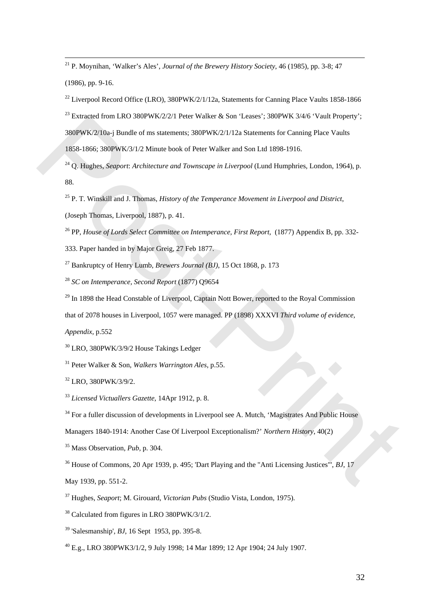<span id="page-31-0"></span>21 P. Moynihan, 'Walker's Ales', *Journal of the Brewery History Society*, 46 (1985), pp. 3-8; 47 (1986), pp. 9-16.

 $^{22}$  Liverpool Record Office (LRO), 380PWK/2/1/12a, Statements for Canning Place Vaults 1858-1866 <sup>23</sup> Extracted from LRO 380PWK/2/2/1 Peter Walker & Son 'Leases'; 380PWK 3/4/6 'Vault Property';

380PWK/2/10a-j Bundle of ms statements; 380PWK/2/1/12a Statements for Canning Place Vaults

1858-1866; 380PWK/3/1/2 Minute book of Peter Walker and Son Ltd 1898-1916.

24 Q. Hughes, *Seaport*: *Architecture and Townscape in Liverpool* (Lund Humphries, London, 1964), p. 88. Eximation Transform Control of Social Venezia SROW R221 (12) and the "Anii Venezia" (2013) and West-Print Walker Research (F. Christin Place Vialis 1858-1866; 380PWK2412 Minute book of Peter Walker and Son Ltd 1898-1916.<br>

25 P. T. Winskill and J. Thomas, *History of the Temperance Movement in Liverpool and District*, (Joseph Thomas, Liverpool, 1887), p. 41.

26 PP, *House of Lords Select Committee on Intemperance, First Report*, (1877) Appendix B, pp. 332-

333. Paper handed in by Major Greig, 27 Feb 1877.

27 Bankruptcy of Henry Lumb, *Brewers Journal (BJ)*, 15 Oct 1868, p. 173

<sup>28</sup> *SC on Intemperance, Second Report* (1877) Q9654

<sup>29</sup> In 1898 the Head Constable of Liverpool, Captain Nott Bower, reported to the Royal Commission

that of 2078 houses in Liverpool, 1057 were managed. PP (1898) XXXVI *Third volume of evidence,* 

*Appendix*, p.552

1

30 LRO, 380PWK/3/9/2 House Takings Ledger

31 Peter Walker & Son, *Walkers Warrington Ales*, p.55.

32 LRO, 380PWK/3/9/2.

<sup>33</sup> *Licensed Victuallers Gazette*, 14Apr 1912, p. 8.

<sup>34</sup> For a fuller discussion of developments in Liverpool see A. Mutch, 'Magistrates And Public House

Managers 1840-1914: Another Case Of Liverpool Exceptionalism?' *Northern History*, 40(2)

35 Mass Observation, *Pub,* p. 304.

36 House of Commons, 20 Apr 1939, p. 495; 'Dart Playing and the "Anti Licensing Justices"', *BJ*, 17

May 1939, pp. 551-2.

37 Hughes, *Seaport*; M. Girouard, *Victorian Pubs* (Studio Vista, London, 1975).

<sup>38</sup> Calculated from figures in LRO 380PWK/3/1/2.

39 'Salesmanship', *BJ*, 16 Sept 1953, pp. 395-8.

40 E.g., LRO 380PWK3/1/2, 9 July 1998; 14 Mar 1899; 12 Apr 1904; 24 July 1907.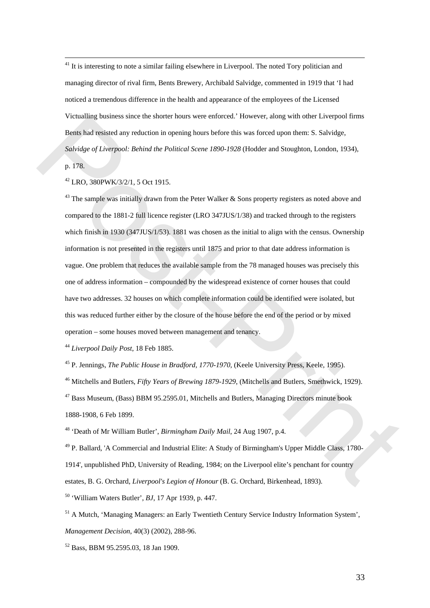<span id="page-32-0"></span> $41$  It is interesting to note a similar failing elsewhere in Liverpool. The noted Tory politician and managing director of rival firm, Bents Brewery, Archibald Salvidge, commented in 1919 that 'I had noticed a tremendous difference in the health and appearance of the employees of the Licensed Victualling business since the shorter hours were enforced.' However, along with other Liverpool firms Bents had resisted any reduction in opening hours before this was forced upon them: S. Salvidge, *Salvidge of Liverpool: Behind the Political Scene 1890-1928* (Hodder and Stoughton, London, 1934), p. 178.

42 LRO, 380PWK/3/2/1, 5 Oct 1915.

1

 $43$  The sample was initially drawn from the Peter Walker & Sons property registers as noted above and compared to the 1881-2 full licence register (LRO 347JUS/1/38) and tracked through to the registers which finish in 1930 (347JUS/1/53). 1881 was chosen as the initial to align with the census. Ownership information is not presented in the registers until 1875 and prior to that date address information is vague. One problem that reduces the available sample from the 78 managed houses was precisely this one of address information – compounded by the widespread existence of corner houses that could have two addresses. 32 houses on which complete information could be identified were isolated, but this was reduced further either by the closure of the house before the end of the period or by mixed operation – some houses moved between management and tenancy. Vitalianity materials and principle and the transformation increase the matrix and the states. The states of the states of the states of the states of the states of the states of the states of the states of the states of

<sup>44</sup> *Liverpool Daily Post*, 18 Feb 1885.

45 P. Jennings, *The Public House in Bradford, 1770-1970*, (Keele University Press, Keele, 1995). 46 Mitchells and Butlers, *Fifty Years of Brewing 1879-1929*, (Mitchells and Butlers, Smethwick, 1929). <sup>47</sup> Bass Museum, (Bass) BBM 95.2595.01, Mitchells and Butlers, Managing Directors minute book 1888-1908, 6 Feb 1899.

48 'Death of Mr William Butler', *Birmingham Daily Mail*, 24 Aug 1907, p.4.

49 P. Ballard, 'A Commercial and Industrial Elite: A Study of Birmingham's Upper Middle Class, 1780- 1914', unpublished PhD, University of Reading, 1984; on the Liverpool elite's penchant for country estates, B. G. Orchard, *Liverpool's Legion of Honour* (B. G. Orchard, Birkenhead, 1893). 50 'William Waters Butler', *BJ*, 17 Apr 1939, p. 447.

<sup>51</sup> A Mutch, 'Managing Managers: an Early Twentieth Century Service Industry Information System', *Management Decision*, 40(3) (2002), 288-96.

52 Bass, BBM 95.2595.03, 18 Jan 1909.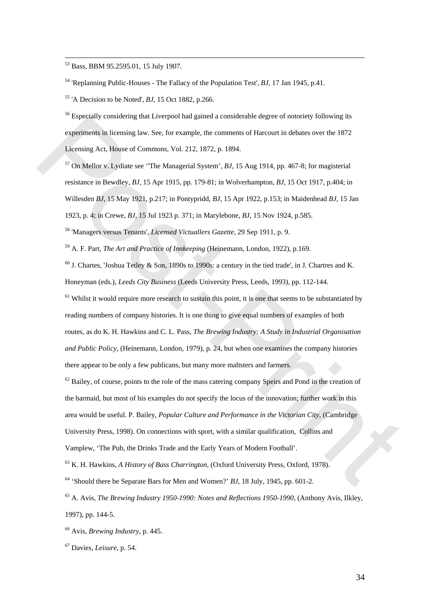<span id="page-33-0"></span>53 Bass, BBM 95.2595.01, 15 July 1907.

1

54 'Replanning Public-Houses - The Fallacy of the Population Test', *BJ*, 17 Jan 1945, p.41.

55 'A Decision to be Noted', *BJ*, 15 Oct 1882, p.266.

<sup>56</sup> Especially considering that Liverpool had gained a considerable degree of notoriety following its experiments in licensing law. See, for example, the comments of Harcourt in debates over the 1872 Licensing Act, House of Commons, Vol. 212, 1872, p. 1894.

57 On Mellor v. Lydiate see ''The Managerial System', *BJ*, 15 Aug 1914, pp. 467-8; for magisterial resistance in Bewdley, *BJ*, 15 Apr 1915, pp. 179-81; in Wolverhampton, *BJ*, 15 Oct 1917, p.404; in Willesden *BJ*, 15 May 1921, p.217; in Pontypridd, *BJ*, 15 Apr 1922, p.153; in Maidenhead *BJ*, 15 Jan 1923, p. 4; in Crewe, *BJ*, 15 Jul 1923 p. 371; in Marylebone, *BJ*, 15 Nov 1924, p.585. 58 'Managers versus Tenants', *Licensed Victuallers Gazette*, 29 Sep 1911, p. 9.

59 A. F. Part, *The Art and Practice of Innkeeping* (Heinemann, London, 1922), p.169.

 $^{60}$  J. Chartes, 'Joshua Tetley & Son, 1890s to 1990s: a century in the tied trade', in J. Chartres and K. Honeyman (eds.), *Leeds City Business* (Leeds University Press, Leeds, 1993), pp. 112-144.

 $<sup>61</sup>$  Whilst it would require more research to sustain this point, it is one that seems to be substantiated by</sup> reading numbers of company histories. It is one thing to give equal numbers of examples of both routes, as do K. H. Hawkins and C. L. Pass, *The Brewing Industry: A Study in Industrial Organisation and Public Policy*, (Heinemann, London, 1979), p. 24, but when one examines the company histories there appear to be only a few publicans, but many more maltsters and farmers.

 $62$  Bailey, of course, points to the role of the mass catering company Speirs and Pond in the creation of the barmaid, but most of his examples do not specify the locus of the innovation; further work in this area would be useful. P. Bailey, *Popular Culture and Performance in the Victorian City*, (Cambridge University Press, 1998). On connections with sport, with a similar qualification, Collins and Vamplew, 'The Pub, the Drinks Trade and the Early Years of Modern Football'. Exploration in the matter of the matter of the matter of the theorem is the term of the Sylemetrish the matter of the Northerlands Changele (Northerlands the Northerlands Changele Act. House of Commons, Vol. 212, 1872, p.

63 K. H. Hawkins, *A History of Bass Charrington*, (Oxford University Press, Oxford, 1978).

64 'Should there be Separate Bars for Men and Women?' *BJ*, 18 July, 1945, pp. 601-2.

65 A. Avis, *The Brewing Industry 1950-1990: Notes and Reflections 1950-1990*, (Anthony Avis, Ilkley, 1997), pp. 144-5.

66 Avis, *Brewing Industry,* p. 445.

67 Davies, *Leisure*, p. 54.